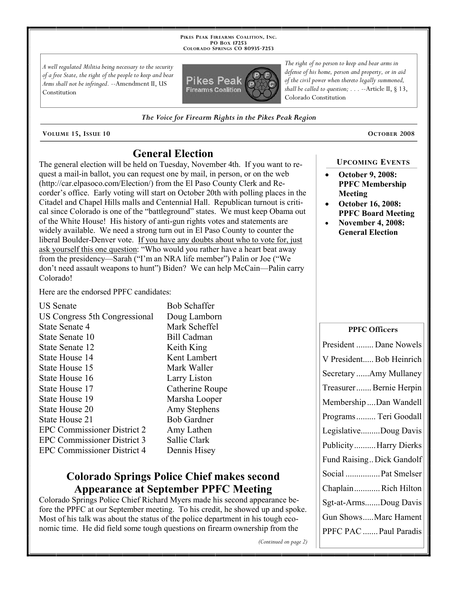**PIKES PEAK FIREARMS COALITION, INC. PO BOX 17253 COLORADO SPRINGS CO 80935 -7253**

*A well regulated Militia being necessary to the security of a free State, the right of the people to keep and bear Arms shall not be infringed.* --Amendment II, US Constitution



*The Voice for Firearm Rights in the Pikes Peak Region*

**VOLUME 15, ISSUE 10 OCTOBER 2008**

## **General Election**

The general election will be held on Tuesday, November 4th. If you want to request a mail-in ballot, you can request one by mail, in person, or on the web (http://car.elpasoco.com/Election/) from the El Paso County Clerk and Recorder's office. Early voting will start on October 20th with polling places in the Citadel and Chapel Hills malls and Centennial Hall. Republican turnout is critical since Colorado is one of the "battleground" states. We must keep Obama out of the White House! His history of anti-gun rights votes and statements are widely available. We need a strong turn out in El Paso County to counter the liberal Boulder-Denver vote. If you have any doubts about who to vote for, just ask yourself this one question: "Who would you rather have a heart beat away from the presidency—Sarah ("I'm an NRA life member") Palin or Joe ("We don't need assault weapons to hunt") Biden? We can help McCain—Palin carry Colorado!

Here are the endorsed PPFC candidates:

US Senate Bob Schaffer

| US Congress 5th Congressional      | D  |
|------------------------------------|----|
| State Senate 4                     | N  |
| State Senate 10                    | В  |
| State Senate 12                    | K  |
| State House 14                     | K  |
| State House 15                     | N. |
| State House 16                     | L  |
| State House 17                     | C  |
| State House 19                     | N. |
| State House 20                     | A  |
| State House 21                     | Β  |
| <b>EPC Commissioner District 2</b> | A  |
| <b>EPC Commissioner District 3</b> | S: |
| <b>EPC Commissioner District 4</b> | D  |

oug Lamborn Iark Scheffel ill Cadman eith King ent Lambert 1ark Waller arry Liston 'atherine Roupe **Tarsha Looper** my Stephens ob Gardner my Lathen allie Clark ennis Hisey

## **Colorado Springs Police Chief makes second Appearance at September PPFC Meeting**

Colorado Springs Police Chief Richard Myers made his second appearance before the PPFC at our September meeting. To his credit, he showed up and spoke. Most of his talk was about the status of the police department in his tough economic time. He did field some tough questions on firearm ownership from the

*The right of no person to keep and bear arms in defense of his home, person and property, or in aid of the civil power when thereto legally summoned, shall be called to question; . . .* --Article II, § 13, Colorado Constitution

**UPCOMING EVENTS**

- **October 9, 2008: PPFC Membership Meeting**
- **October 16, 2008: PPFC Board Meeting**
- **November 4, 2008: General Election**

| <b>PPFC Officers</b>      |
|---------------------------|
| President  Dane Nowels    |
| V President Bob Heinrich  |
| Secretary Amy Mullaney    |
| Treasurer Bernie Herpin   |
| Membership Dan Wandell    |
| Programs  Teri Goodall    |
| LegislativeDoug Davis     |
| Publicity Harry Dierks    |
| Fund Raising Dick Gandolf |
| Social  Pat Smelser       |
| ChaplainRich Hilton       |
| Sgt-at-ArmsDoug Davis     |
| Gun ShowsMarc Hament      |
| PPFC PAC  Paul Paradis    |

*(Continued on page 2)*